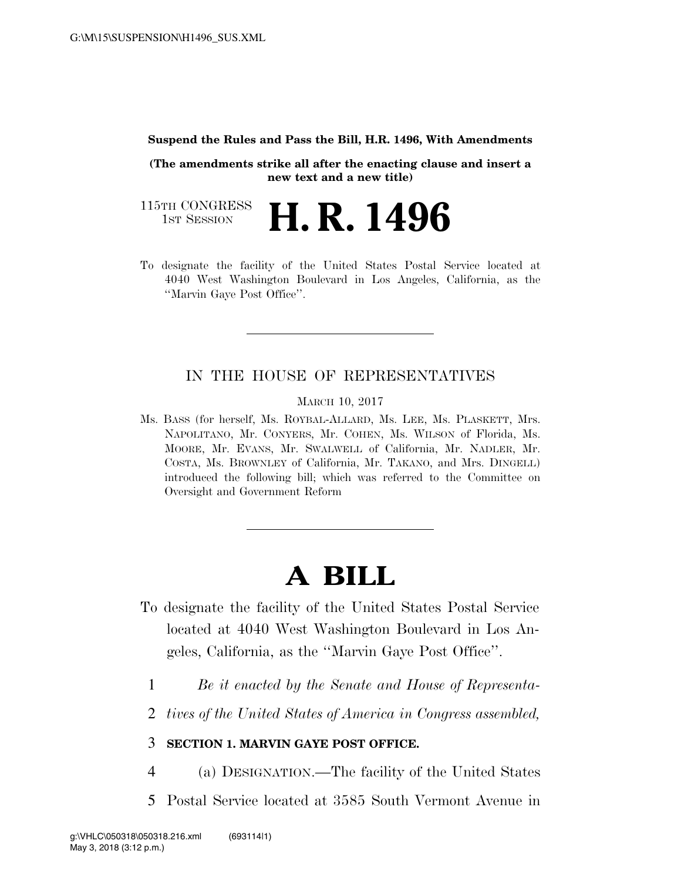## **Suspend the Rules and Pass the Bill, H.R. 1496, With Amendments**

**(The amendments strike all after the enacting clause and insert a new text and a new title)** 

115TH CONGRESS<br>1st Session H. R. 1496

To designate the facility of the United States Postal Service located at 4040 West Washington Boulevard in Los Angeles, California, as the ''Marvin Gaye Post Office''.

## IN THE HOUSE OF REPRESENTATIVES

MARCH 10, 2017

Ms. BASS (for herself, Ms. ROYBAL-ALLARD, Ms. LEE, Ms. PLASKETT, Mrs. NAPOLITANO, Mr. CONYERS, Mr. COHEN, Ms. WILSON of Florida, Ms. MOORE, Mr. EVANS, Mr. SWALWELL of California, Mr. NADLER, Mr. COSTA, Ms. BROWNLEY of California, Mr. TAKANO, and Mrs. DINGELL) introduced the following bill; which was referred to the Committee on Oversight and Government Reform

## **A BILL**

- To designate the facility of the United States Postal Service located at 4040 West Washington Boulevard in Los Angeles, California, as the ''Marvin Gaye Post Office''.
	- 1 *Be it enacted by the Senate and House of Representa-*
	- 2 *tives of the United States of America in Congress assembled,*

## 3 **SECTION 1. MARVIN GAYE POST OFFICE.**

- 4 (a) DESIGNATION.—The facility of the United States
- 5 Postal Service located at 3585 South Vermont Avenue in